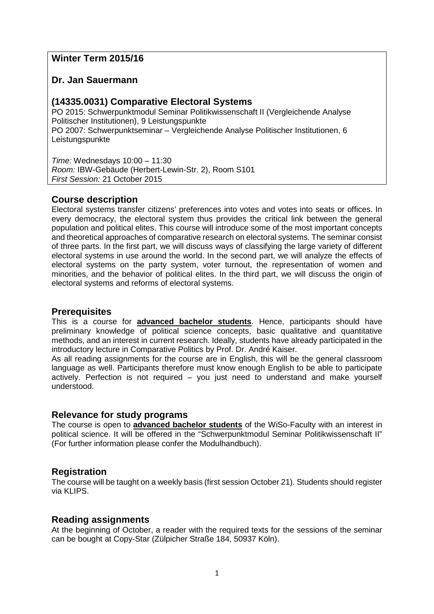# **Winter Term 2015/16**

## **Dr. Jan Sauermann**

## **(14335.0031) Comparative Electoral Systems**

PO 2015: Schwerpunktmodul Seminar Politikwissenschaft II (Vergleichende Analyse Politischer Institutionen), 9 Leistungspunkte PO 2007: Schwerpunktseminar – Vergleichende Analyse Politischer Institutionen, 6 Leistungspunkte

*Time:* Wednesdays 10:00 – 11:30 *Room:* IBW-Gebäude (Herbert-Lewin-Str. 2), Room S101 *First Session:* 21 October 2015

# **Course description**

Electoral systems transfer citizens' preferences into votes and votes into seats or offices. In every democracy, the electoral system thus provides the critical link between the general population and political elites. This course will introduce some of the most important concepts and theoretical approaches of comparative research on electoral systems. The seminar consist of three parts. In the first part, we will discuss ways of classifying the large variety of different electoral systems in use around the world. In the second part, we will analyze the effects of electoral systems on the party system, voter turnout, the representation of women and minorities, and the behavior of political elites. In the third part, we will discuss the origin of electoral systems and reforms of electoral systems.

### **Prerequisites**

This is a course for **advanced bachelor students**. Hence, participants should have preliminary knowledge of political science concepts, basic qualitative and quantitative methods, and an interest in current research. Ideally, students have already participated in the introductory lecture in Comparative Politics by Prof. Dr. André Kaiser.

As all reading assignments for the course are in English, this will be the general classroom language as well. Participants therefore must know enough English to be able to participate actively. Perfection is not required – you just need to understand and make yourself understood.

### **Relevance for study programs**

The course is open to **advanced bachelor students** of the WiSo-Faculty with an interest in political science. It will be offered in the "Schwerpunktmodul Seminar Politikwissenschaft II" (For further information please confer the Modulhandbuch).

## **Registration**

The course will be taught on a weekly basis (first session October 21). Students should register via KLIPS.

### **Reading assignments**

At the beginning of October, a reader with the required texts for the sessions of the seminar can be bought at Copy-Star (Zülpicher Straße 184, 50937 Köln).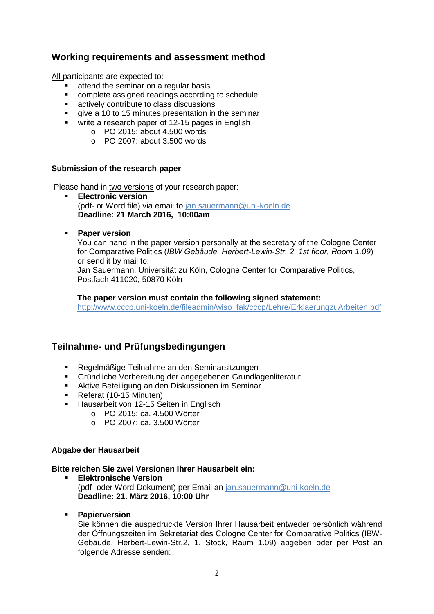## **Working requirements and assessment method**

All participants are expected to:

- **EXEC** attend the seminar on a regular basis
- complete assigned readings according to schedule
- actively contribute to class discussions
- give a 10 to 15 minutes presentation in the seminar
- write a research paper of 12-15 pages in English
	- o PO 2015: about 4.500 words
	- $\circ$  PO 2007: about 3.500 words

### **Submission of the research paper**

Please hand in two versions of your research paper:

- **Electronic version**  (pdf- or Word file) via email to [jan.sauermann@uni-koeln.de](mailto:jan.sauermann@uni-koeln.de) **Deadline: 21 March 2016, 10:00am**
- **Paper version**

You can hand in the paper version personally at the secretary of the Cologne Center for Comparative Politics (*IBW Gebäude, Herbert-Lewin-Str. 2, 1st floor, Room 1.09*) or send it by mail to:

Jan Sauermann, Universität zu Köln, Cologne Center for Comparative Politics, Postfach 411020, 50870 Köln

**The paper version must contain the following signed statement:** 

[http://www.cccp.uni-koeln.de/fileadmin/wiso\\_fak/cccp/Lehre/ErklaerungzuArbeiten.pdf](http://www.cccp.uni-koeln.de/fileadmin/wiso_fak/cccp/Lehre/ErklaerungzuArbeiten.pdf)

## **Teilnahme- und Prüfungsbedingungen**

- Regelmäßige Teilnahme an den Seminarsitzungen
- Gründliche Vorbereitung der angegebenen Grundlagenliteratur
- Aktive Beteiligung an den Diskussionen im Seminar
- Referat (10-15 Minuten)
- **Hausarbeit von 12-15 Seiten in Englisch** 
	- o PO 2015: ca. 4.500 Wörter
	- o PO 2007: ca. 3.500 Wörter

### **Abgabe der Hausarbeit**

### **Bitte reichen Sie zwei Versionen Ihrer Hausarbeit ein:**

- **Elektronische Version** (pdf- oder Word-Dokument) per Email an [jan.sauermann@uni-koeln.de](mailto:jan.sauermann@uni-koeln.de) **Deadline: 21. März 2016, 10:00 Uhr**
- **Papierversion**

Sie können die ausgedruckte Version Ihrer Hausarbeit entweder persönlich während der Öffnungszeiten im Sekretariat des Cologne Center for Comparative Politics (IBW-Gebäude, Herbert-Lewin-Str.2, 1. Stock, Raum 1.09) abgeben oder per Post an folgende Adresse senden: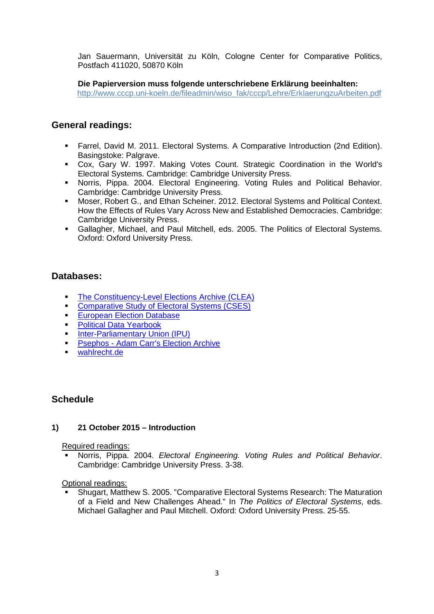Jan Sauermann, Universität zu Köln, Cologne Center for Comparative Politics, Postfach 411020, 50870 Köln

**Die Papierversion muss folgende unterschriebene Erklärung beeinhalten:** [http://www.cccp.uni-koeln.de/fileadmin/wiso\\_fak/cccp/Lehre/ErklaerungzuArbeiten.pdf](http://www.cccp.uni-koeln.de/fileadmin/wiso_fak/cccp/Lehre/ErklaerungzuArbeiten.pdf)

## **General readings:**

- Farrel, David M. 2011. Electoral Systems. A Comparative Introduction (2nd Edition). Basingstoke: Palgrave.
- Cox, Gary W. 1997. Making Votes Count. Strategic Coordination in the World's Electoral Systems. Cambridge: Cambridge University Press.
- Norris, Pippa. 2004. Electoral Engineering. Voting Rules and Political Behavior. Cambridge: Cambridge University Press.
- Moser, Robert G., and Ethan Scheiner. 2012. Electoral Systems and Political Context. How the Effects of Rules Vary Across New and Established Democracies. Cambridge: Cambridge University Press.
- Gallagher, Michael, and Paul Mitchell, eds. 2005. The Politics of Electoral Systems. Oxford: Oxford University Press.

## **Databases:**

- **[The Constituency-Level Elections Archive \(CLEA\)](http://www.electiondataarchive.org/)**
- **[Comparative Study of Electoral Systems \(CSES\)](http://www.cses.org/)**
- **[European Election Database](http://www.nsd.uib.no/european_election_database/index.html)**
- **[Political Data Yearbook](http://www.politicaldatayearbook.com/)**
- **[Inter-Parliamentary Union \(IPU\)](http://www.ipu.org/english/home.htm)**
- **Psephos [Adam Carr's Election Archive](http://psephos.adam-carr.net/)**
- [wahlrecht.de](http://www.wahlrecht.de/)

## **Schedule**

### **1) 21 October 2015 – Introduction**

Required readings:

 Norris, Pippa. 2004. *Electoral Engineering. Voting Rules and Political Behavior*. Cambridge: Cambridge University Press. 3-38.

Optional readings:

 Shugart, Matthew S. 2005. "Comparative Electoral Systems Research: The Maturation of a Field and New Challenges Ahead." In *The Politics of Electoral Systems*, eds. Michael Gallagher and Paul Mitchell. Oxford: Oxford University Press. 25-55.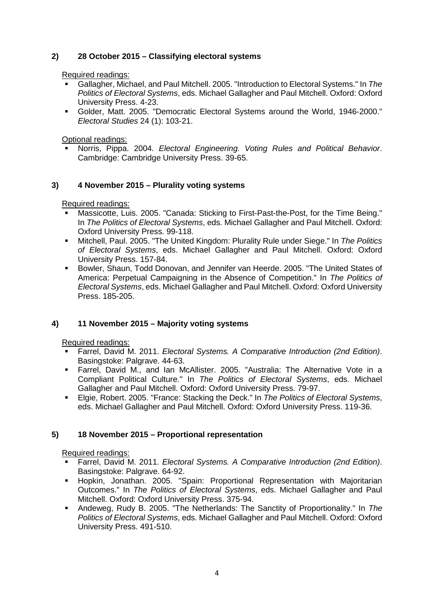### **2) 28 October 2015 – Classifying electoral systems**

Required readings:

- Gallagher, Michael, and Paul Mitchell. 2005. "Introduction to Electoral Systems." In *The Politics of Electoral Systems*, eds. Michael Gallagher and Paul Mitchell. Oxford: Oxford University Press. 4-23.
- Golder, Matt. 2005. "Democratic Electoral Systems around the World, 1946-2000." *Electoral Studies* 24 (1): 103-21.

Optional readings:

 Norris, Pippa. 2004. *Electoral Engineering. Voting Rules and Political Behavior*. Cambridge: Cambridge University Press. 39-65.

### **3) 4 November 2015 – Plurality voting systems**

Required readings:

- Massicotte, Luis. 2005. "Canada: Sticking to First-Past-the-Post, for the Time Being." In *The Politics of Electoral Systems*, eds. Michael Gallagher and Paul Mitchell. Oxford: Oxford University Press. 99-118.
- Mitchell, Paul. 2005. "The United Kingdom: Plurality Rule under Siege." In *The Politics of Electoral Systems*, eds. Michael Gallagher and Paul Mitchell. Oxford: Oxford University Press. 157-84.
- Bowler, Shaun, Todd Donovan, and Jennifer van Heerde. 2005. "The United States of America: Perpetual Campaigning in the Absence of Competition." In *The Politics of Electoral Systems*, eds. Michael Gallagher and Paul Mitchell. Oxford: Oxford University Press. 185-205.

### **4) 11 November 2015 – Majority voting systems**

Required readings:

- Farrel, David M. 2011. *Electoral Systems. A Comparative Introduction (2nd Edition)*. Basingstoke: Palgrave. 44-63.
- Farrel, David M., and Ian McAllister. 2005. "Australia: The Alternative Vote in a Compliant Political Culture." In *The Politics of Electoral Systems*, eds. Michael Gallagher and Paul Mitchell. Oxford: Oxford University Press. 79-97.
- Elgie, Robert. 2005. "France: Stacking the Deck." In *The Politics of Electoral Systems*, eds. Michael Gallagher and Paul Mitchell. Oxford: Oxford University Press. 119-36.

### **5) 18 November 2015 – Proportional representation**

Required readings:

- Farrel, David M. 2011. *Electoral Systems. A Comparative Introduction (2nd Edition)*. Basingstoke: Palgrave. 64-92.
- Hopkin, Jonathan. 2005. "Spain: Proportional Representation with Majoritarian Outcomes." In *The Politics of Electoral Systems*, eds. Michael Gallagher and Paul Mitchell. Oxford: Oxford University Press. 375-94.
- Andeweg, Rudy B. 2005. "The Netherlands: The Sanctity of Proportionality." In *The Politics of Electoral Systems*, eds. Michael Gallagher and Paul Mitchell. Oxford: Oxford University Press. 491-510.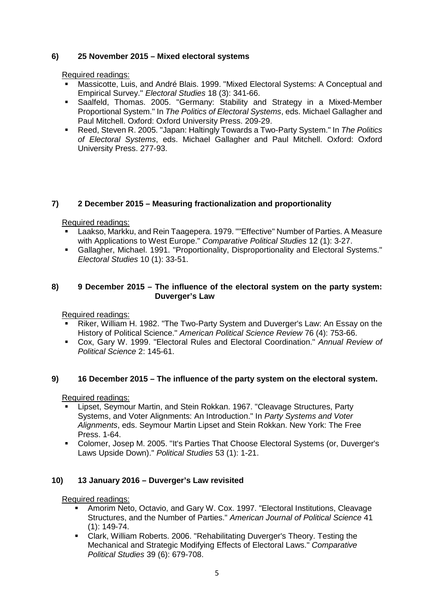### **6) 25 November 2015 – Mixed electoral systems**

Required readings:

- Massicotte, Luis, and André Blais. 1999. "Mixed Electoral Systems: A Conceptual and Empirical Survey." *Electoral Studies* 18 (3): 341-66.
- Saalfeld, Thomas. 2005. "Germany: Stability and Strategy in a Mixed-Member Proportional System." In *The Politics of Electoral Systems*, eds. Michael Gallagher and Paul Mitchell. Oxford: Oxford University Press. 209-29.
- Reed, Steven R. 2005. "Japan: Haltingly Towards a Two-Party System." In *The Politics of Electoral Systems*, eds. Michael Gallagher and Paul Mitchell. Oxford: Oxford University Press. 277-93.

### **7) 2 December 2015 – Measuring fractionalization and proportionality**

Required readings:

- Laakso, Markku, and Rein Taagepera. 1979. ""Effective" Number of Parties. A Measure with Applications to West Europe." *Comparative Political Studies* 12 (1): 3-27.
- Gallagher, Michael. 1991. "Proportionality, Disproportionality and Electoral Systems." *Electoral Studies* 10 (1): 33-51.

### **8) 9 December 2015 – The influence of the electoral system on the party system: Duverger's Law**

Required readings:

- Riker, William H. 1982. "The Two-Party System and Duverger's Law: An Essay on the History of Political Science." *American Political Science Review* 76 (4): 753-66.
- Cox, Gary W. 1999. "Electoral Rules and Electoral Coordination." *Annual Review of Political Science* 2: 145-61.

### **9) 16 December 2015 – The influence of the party system on the electoral system.**

Required readings:

- Lipset, Seymour Martin, and Stein Rokkan. 1967. "Cleavage Structures, Party Systems, and Voter Alignments: An Introduction." In *Party Systems and Voter Alignments*, eds. Seymour Martin Lipset and Stein Rokkan. New York: The Free Press. 1-64.
- Colomer, Josep M. 2005. "It's Parties That Choose Electoral Systems (or, Duverger's Laws Upside Down)." *Political Studies* 53 (1): 1-21.

### **10) 13 January 2016 – Duverger's Law revisited**

Required readings:

- Amorim Neto, Octavio, and Gary W. Cox. 1997. "Electoral Institutions, Cleavage Structures, and the Number of Parties." *American Journal of Political Science* 41 (1): 149-74.
- Clark, William Roberts. 2006. "Rehabilitating Duverger's Theory. Testing the Mechanical and Strategic Modifying Effects of Electoral Laws." *Comparative Political Studies* 39 (6): 679-708.